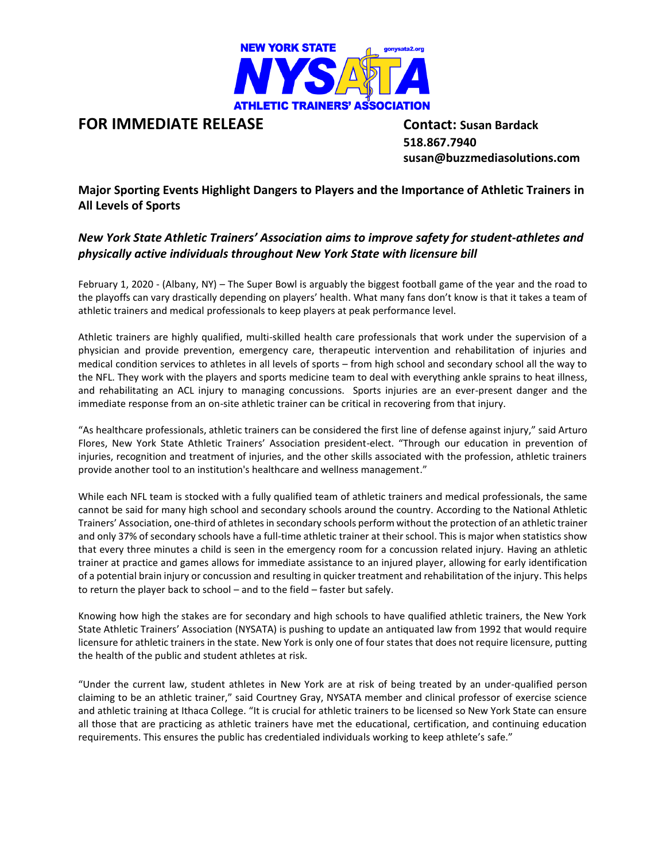

## **FOR IMMEDIATE RELEASE Contact: Susan Bardack**

 **518.867.7940 susan@buzzmediasolutions.com**

**Major Sporting Events Highlight Dangers to Players and the Importance of Athletic Trainers in All Levels of Sports**

## *New York State Athletic Trainers' Association aims to improve safety for student-athletes and physically active individuals throughout New York State with licensure bill*

February 1, 2020 - (Albany, NY) – The Super Bowl is arguably the biggest football game of the year and the road to the playoffs can vary drastically depending on players' health. What many fans don't know is that it takes a team of athletic trainers and medical professionals to keep players at peak performance level.

Athletic trainers are highly qualified, multi-skilled health care professionals that work under the supervision of a physician and provide prevention, emergency care, therapeutic intervention and rehabilitation of injuries and medical condition services to athletes in all levels of sports – from high school and secondary school all the way to the NFL. They work with the players and sports medicine team to deal with everything ankle sprains to heat illness, and rehabilitating an ACL injury to managing concussions. Sports injuries are an ever-present danger and the immediate response from an on-site athletic trainer can be critical in recovering from that injury.

"As healthcare professionals, athletic trainers can be considered the first line of defense against injury," said Arturo Flores, New York State Athletic Trainers' Association president-elect. "Through our education in prevention of injuries, recognition and treatment of injuries, and the other skills associated with the profession, athletic trainers provide another tool to an institution's healthcare and wellness management."

While each NFL team is stocked with a fully qualified team of athletic trainers and medical professionals, the same cannot be said for many high school and secondary schools around the country. According to the National Athletic Trainers' Association, one-third of athletes in secondary schools perform without the protection of an athletic trainer and only 37% of secondary schools have a full-time athletic trainer at their school. This is major when statistics show that every three minutes a child is seen in the emergency room for a concussion related injury. Having an athletic trainer at practice and games allows for immediate assistance to an injured player, allowing for early identification of a potential brain injury or concussion and resulting in quicker treatment and rehabilitation of the injury. This helps to return the player back to school – and to the field – faster but safely.

Knowing how high the stakes are for secondary and high schools to have qualified athletic trainers, the New York State Athletic Trainers' Association (NYSATA) is pushing to update an antiquated law from 1992 that would require licensure for athletic trainers in the state. New York is only one of four states that does not require licensure, putting the health of the public and student athletes at risk.

"Under the current law, student athletes in New York are at risk of being treated by an under-qualified person claiming to be an athletic trainer," said Courtney Gray, NYSATA member and clinical professor of exercise science and athletic training at Ithaca College. "It is crucial for athletic trainers to be licensed so New York State can ensure all those that are practicing as athletic trainers have met the educational, certification, and continuing education requirements. This ensures the public has credentialed individuals working to keep athlete's safe."